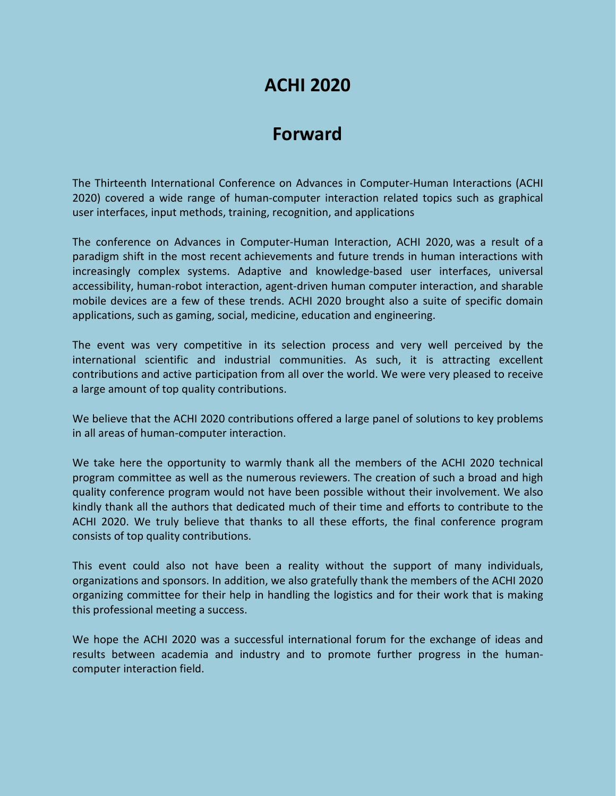# **ACHI 2020**

# **Forward**

The Thirteenth International Conference on Advances in Computer-Human Interactions (ACHI 2020) covered a wide range of human-computer interaction related topics such as graphical user interfaces, input methods, training, recognition, and applications

The conference on Advances in Computer-Human Interaction, ACHI 2020, was a result of a paradigm shift in the most recent achievements and future trends in human interactions with increasingly complex systems. Adaptive and knowledge-based user interfaces, universal accessibility, human-robot interaction, agent-driven human computer interaction, and sharable mobile devices are a few of these trends. ACHI 2020 brought also a suite of specific domain applications, such as gaming, social, medicine, education and engineering.

The event was very competitive in its selection process and very well perceived by the international scientific and industrial communities. As such, it is attracting excellent contributions and active participation from all over the world. We were very pleased to receive a large amount of top quality contributions.

We believe that the ACHI 2020 contributions offered a large panel of solutions to key problems in all areas of human-computer interaction.

We take here the opportunity to warmly thank all the members of the ACHI 2020 technical program committee as well as the numerous reviewers. The creation of such a broad and high quality conference program would not have been possible without their involvement. We also kindly thank all the authors that dedicated much of their time and efforts to contribute to the ACHI 2020. We truly believe that thanks to all these efforts, the final conference program consists of top quality contributions.

This event could also not have been a reality without the support of many individuals, organizations and sponsors. In addition, we also gratefully thank the members of the ACHI 2020 organizing committee for their help in handling the logistics and for their work that is making this professional meeting a success.

We hope the ACHI 2020 was a successful international forum for the exchange of ideas and results between academia and industry and to promote further progress in the humancomputer interaction field.